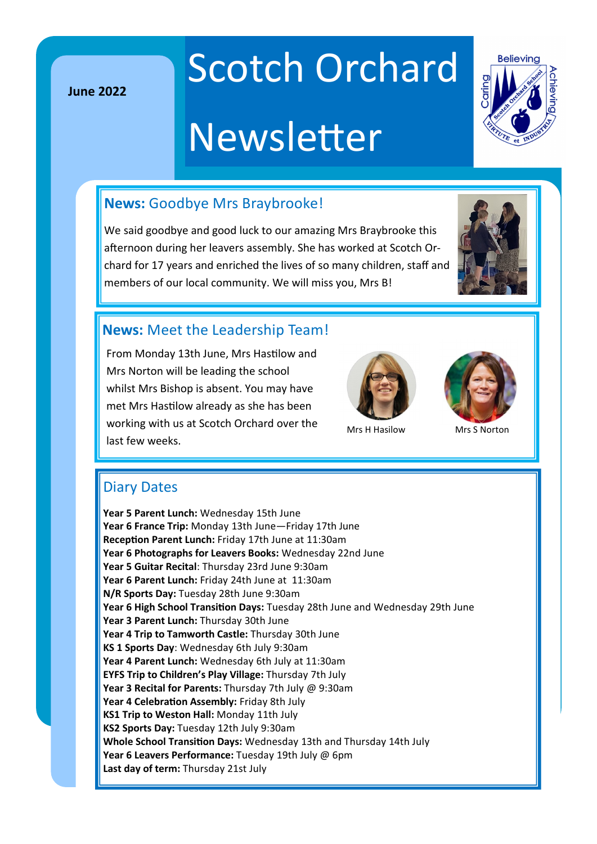**June 2022**

# Scotch Orchard

## Newsletter



#### **News:** Goodbye Mrs Braybrooke!

We said goodbye and good luck to our amazing Mrs Braybrooke this afternoon during her leavers assembly. She has worked at Scotch Orchard for 17 years and enriched the lives of so many children, staff and members of our local community. We will miss you, Mrs B!



#### **News:** Meet the Leadership Team!

From Monday 13th June, Mrs Hastilow and Mrs Norton will be leading the school whilst Mrs Bishop is absent. You may have met Mrs Hastilow already as she has been working with us at Scotch Orchard over the last few weeks.



Mrs H Hasilow Mrs S Norton



#### Diary Dates

**Year 5 Parent Lunch:** Wednesday 15th June **Year 6 France Trip:** Monday 13th June—Friday 17th June **Reception Parent Lunch:** Friday 17th June at 11:30am **Year 6 Photographs for Leavers Books:** Wednesday 22nd June **Year 5 Guitar Recital**: Thursday 23rd June 9:30am Year 6 Parent Lunch: Friday 24th June at 11:30am **N/R Sports Day:** Tuesday 28th June 9:30am **Year 6 High School Transition Days:** Tuesday 28th June and Wednesday 29th June **Year 3 Parent Lunch:** Thursday 30th June **Year 4 Trip to Tamworth Castle:** Thursday 30th June **KS 1 Sports Day**: Wednesday 6th July 9:30am **Year 4 Parent Lunch:** Wednesday 6th July at 11:30am **EYFS Trip to Children's Play Village:** Thursday 7th July **Year 3 Recital for Parents:** Thursday 7th July @ 9:30am **Year 4 Celebration Assembly:** Friday 8th July **KS1 Trip to Weston Hall:** Monday 11th July **KS2 Sports Day:** Tuesday 12th July 9:30am **Whole School Transition Days:** Wednesday 13th and Thursday 14th July **Year 6 Leavers Performance:** Tuesday 19th July @ 6pm **Last day of term:** Thursday 21st July